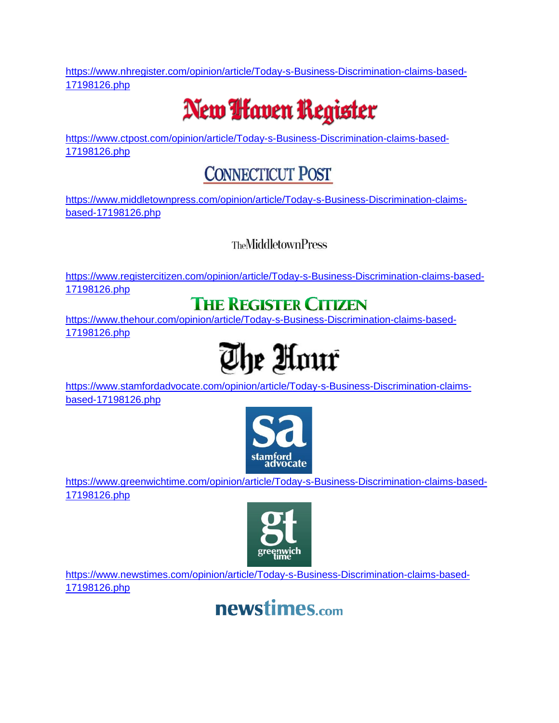[https://www.nhregister.com/opinion/article/Today-s-Business-Discrimination-claims-based-](https://www.nhregister.com/opinion/article/Today-s-Business-Discrimination-claims-based-17198126.php)[17198126.php](https://www.nhregister.com/opinion/article/Today-s-Business-Discrimination-claims-based-17198126.php)

# New **I** faven Register

[https://www.ctpost.com/opinion/article/Today-s-Business-Discrimination-claims-based-](https://www.ctpost.com/opinion/article/Today-s-Business-Discrimination-claims-based-17198126.php)[17198126.php](https://www.ctpost.com/opinion/article/Today-s-Business-Discrimination-claims-based-17198126.php)

## **CONNECTICUT POST**

[https://www.middletownpress.com/opinion/article/Today-s-Business-Discrimination-claims](https://www.middletownpress.com/opinion/article/Today-s-Business-Discrimination-claims-based-17198126.php)[based-17198126.php](https://www.middletownpress.com/opinion/article/Today-s-Business-Discrimination-claims-based-17198126.php)

#### **TheMiddletownPress**

[https://www.registercitizen.com/opinion/article/Today-s-Business-Discrimination-claims-based-](https://www.registercitizen.com/opinion/article/Today-s-Business-Discrimination-claims-based-17198126.php)[17198126.php](https://www.registercitizen.com/opinion/article/Today-s-Business-Discrimination-claims-based-17198126.php)

### **THE REGISTER CITIZEN**

[https://www.thehour.com/opinion/article/Today-s-Business-Discrimination-claims-based-](https://www.thehour.com/opinion/article/Today-s-Business-Discrimination-claims-based-17198126.php)[17198126.php](https://www.thehour.com/opinion/article/Today-s-Business-Discrimination-claims-based-17198126.php)



[https://www.stamfordadvocate.com/opinion/article/Today-s-Business-Discrimination-claims](https://www.stamfordadvocate.com/opinion/article/Today-s-Business-Discrimination-claims-based-17198126.php)[based-17198126.php](https://www.stamfordadvocate.com/opinion/article/Today-s-Business-Discrimination-claims-based-17198126.php)



[https://www.greenwichtime.com/opinion/article/Today-s-Business-Discrimination-claims-based-](https://www.greenwichtime.com/opinion/article/Today-s-Business-Discrimination-claims-based-17198126.php)[17198126.php](https://www.greenwichtime.com/opinion/article/Today-s-Business-Discrimination-claims-based-17198126.php)



[https://www.newstimes.com/opinion/article/Today-s-Business-Discrimination-claims-based-](https://www.newstimes.com/opinion/article/Today-s-Business-Discrimination-claims-based-17198126.php)[17198126.php](https://www.newstimes.com/opinion/article/Today-s-Business-Discrimination-claims-based-17198126.php)

## newstimes.com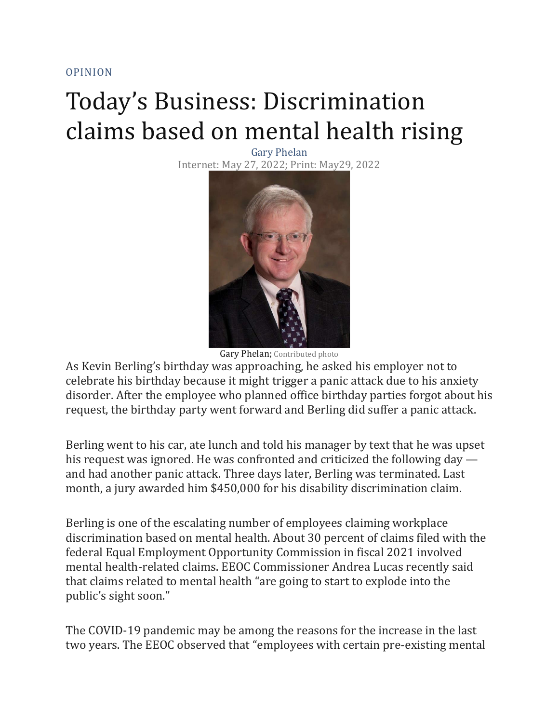[OPINION](https://www.nhregister.com/opinion/)

# Today's Business: Discrimination claims based on mental health rising

Gary Phelan Internet: May 27, 2022; Print: May29, 2022



Gary Phelan; Contributed photo

As Kevin Berling's birthday was approaching, he asked his employer not to celebrate his birthday because it might trigger a panic attack due to his anxiety disorder. After the employee who planned office birthday parties forgot about his request, the birthday party went forward and Berling did suffer a panic attack.

Berling went to his car, ate lunch and told his manager by text that he was upset his request was ignored. He was confronted and criticized the following day and had another panic attack. Three days later, Berling was terminated. Last month, a jury awarded him \$450,000 for his disability discrimination claim.

Berling is one of the escalating number of employees claiming workplace discrimination based on mental health. About 30 percent of claims filed with the federal Equal Employment Opportunity Commission in fiscal 2021 involved mental health-related claims. EEOC Commissioner Andrea Lucas recently said that claims related to mental health "are going to start to explode into the public's sight soon."

The COVID-19 pandemic may be among the reasons for the increase in the last two years. The EEOC observed that "employees with certain pre-existing mental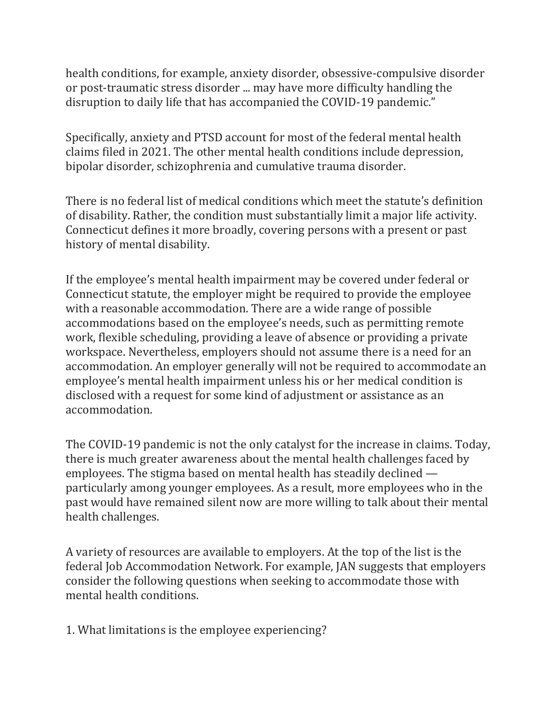health conditions, for example, anxiety disorder, obsessive-compulsive disorder or post-traumatic stress disorder ... may have more difficulty handling the disruption to daily life that has accompanied the COVID-19 pandemic."

Specifically, anxiety and PTSD account for most of the federal mental health claims filed in 2021. The other mental health conditions include depression, bipolar disorder, schizophrenia and cumulative trauma disorder.

There is no federal list of medical conditions which meet the statute's definition of disability. Rather, the condition must substantially limit a major life activity. Connecticut defines it more broadly, covering persons with a present or past history of mental disability.

If the employee's mental health impairment may be covered under federal or Connecticut statute, the employer might be required to provide the employee with a reasonable accommodation. There are a wide range of possible accommodations based on the employee's needs, such as permitting remote work, flexible scheduling, providing a leave of absence or providing a private workspace. Nevertheless, employers should not assume there is a need for an accommodation. An employer generally will not be required to accommodate an employee's mental health impairment unless his or her medical condition is disclosed with a request for some kind of adjustment or assistance as an accommodation.

The COVID-19 pandemic is not the only catalyst for the increase in claims. Today, there is much greater awareness about the mental health challenges faced by employees. The stigma based on mental health has steadily declined particularly among younger employees. As a result, more employees who in the past would have remained silent now are more willing to talk about their mental health challenges.

A variety of resources are available to employers. At the top of the list is the federal Job Accommodation Network. For example, JAN suggests that employers consider the following questions when seeking to accommodate those with mental health conditions.

1. What limitations is the employee experiencing?